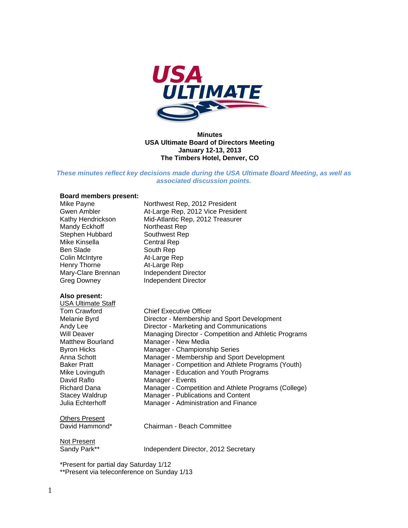

#### **Minutes USA Ultimate Board of Directors Meeting January 12-13, 2013 The Timbers Hotel, Denver, CO**

*These minutes reflect key decisions made during the USA Ultimate Board Meeting, as well as associated discussion points.* 

# **Board members present:**

| Mike Payne<br><b>Gwen Ambler</b><br>Kathy Hendrickson<br>Mandy Eckhoff<br>Stephen Hubbard<br>Mike Kinsella<br><b>Ben Slade</b><br><b>Colin McIntyre</b><br>Henry Thorne<br>Mary-Clare Brennan<br><b>Greg Downey</b> | Northwest Rep, 2012 President<br>At-Large Rep, 2012 Vice President<br>Mid-Atlantic Rep, 2012 Treasurer<br>Northeast Rep<br>Southwest Rep<br><b>Central Rep</b><br>South Rep<br>At-Large Rep<br>At-Large Rep<br>Independent Director<br><b>Independent Director</b> |
|---------------------------------------------------------------------------------------------------------------------------------------------------------------------------------------------------------------------|--------------------------------------------------------------------------------------------------------------------------------------------------------------------------------------------------------------------------------------------------------------------|
| Also present:<br><b>USA Ultimate Staff</b>                                                                                                                                                                          |                                                                                                                                                                                                                                                                    |
| <b>Tom Crawford</b>                                                                                                                                                                                                 | <b>Chief Executive Officer</b>                                                                                                                                                                                                                                     |
| Melanie Byrd                                                                                                                                                                                                        | Director - Membership and Sport Development                                                                                                                                                                                                                        |
| Andy Lee                                                                                                                                                                                                            | Director - Marketing and Communications                                                                                                                                                                                                                            |
| <b>Will Deaver</b>                                                                                                                                                                                                  | Managing Director - Competition and Athletic Programs                                                                                                                                                                                                              |
| <b>Matthew Bourland</b>                                                                                                                                                                                             | Manager - New Media                                                                                                                                                                                                                                                |
| <b>Byron Hicks</b>                                                                                                                                                                                                  | Manager - Championship Series                                                                                                                                                                                                                                      |
| Anna Schott                                                                                                                                                                                                         | Manager - Membership and Sport Development                                                                                                                                                                                                                         |
| <b>Baker Pratt</b>                                                                                                                                                                                                  | Manager - Competition and Athlete Programs (Youth)                                                                                                                                                                                                                 |
| Mike Lovinguth                                                                                                                                                                                                      | Manager - Education and Youth Programs                                                                                                                                                                                                                             |
| David Raflo                                                                                                                                                                                                         | Manager - Events                                                                                                                                                                                                                                                   |
| <b>Richard Dana</b>                                                                                                                                                                                                 | Manager - Competition and Athlete Programs (College)                                                                                                                                                                                                               |
| <b>Stacey Waldrup</b>                                                                                                                                                                                               | Manager - Publications and Content                                                                                                                                                                                                                                 |
| Julia Echterhoff                                                                                                                                                                                                    | Manager - Administration and Finance                                                                                                                                                                                                                               |
| <b>Others Present</b>                                                                                                                                                                                               |                                                                                                                                                                                                                                                                    |
| David Hammond*                                                                                                                                                                                                      | Chairman - Beach Committee                                                                                                                                                                                                                                         |
| Not Present                                                                                                                                                                                                         |                                                                                                                                                                                                                                                                    |
| Sandy Park**                                                                                                                                                                                                        | Independent Director, 2012 Secretary                                                                                                                                                                                                                               |

\*Present for partial day Saturday 1/12

\*\*Present via teleconference on Sunday 1/13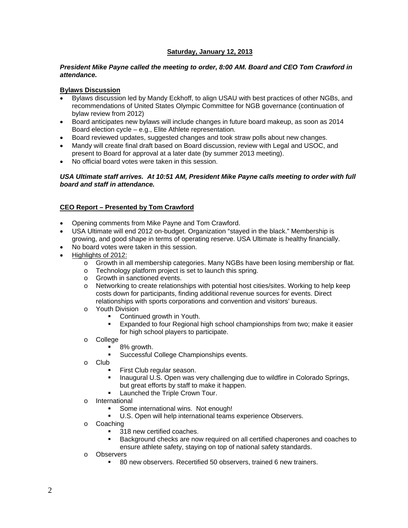# **Saturday, January 12, 2013**

#### *President Mike Payne called the meeting to order, 8:00 AM. Board and CEO Tom Crawford in attendance.*

### **Bylaws Discussion**

- Bylaws discussion led by Mandy Eckhoff, to align USAU with best practices of other NGBs, and recommendations of United States Olympic Committee for NGB governance (continuation of bylaw review from 2012)
- Board anticipates new bylaws will include changes in future board makeup, as soon as 2014 Board election cycle – e.g., Elite Athlete representation.
- Board reviewed updates, suggested changes and took straw polls about new changes.
- Mandy will create final draft based on Board discussion, review with Legal and USOC, and present to Board for approval at a later date (by summer 2013 meeting).
- No official board votes were taken in this session.

### *USA Ultimate staff arrives. At 10:51 AM, President Mike Payne calls meeting to order with full board and staff in attendance.*

# **CEO Report – Presented by Tom Crawford**

- Opening comments from Mike Payne and Tom Crawford.
- USA Ultimate will end 2012 on-budget. Organization "stayed in the black." Membership is growing, and good shape in terms of operating reserve. USA Ultimate is healthy financially.
- No board votes were taken in this session.
- Highlights of 2012:
	- o Growth in all membership categories. Many NGBs have been losing membership or flat.
	- o Technology platform project is set to launch this spring.<br>
	o Growth in sanctioned events.
	- Growth in sanctioned events.
	- o Networking to create relationships with potential host cities/sites. Working to help keep costs down for participants, finding additional revenue sources for events. Direct relationships with sports corporations and convention and visitors' bureaus.
	- o Youth Division
		- Continued growth in Youth.
		- Expanded to four Regional high school championships from two; make it easier for high school players to participate.
	- o College
		- 8% growth.
			- **Successful College Championships events.**
	- o Club
		- First Club regular season.
		- Inaugural U.S. Open was very challenging due to wildfire in Colorado Springs, but great efforts by staff to make it happen.
		- Launched the Triple Crown Tour.
	- o International
		- Some international wins. Not enough!
		- U.S. Open will help international teams experience Observers.
	- o Coaching
		- 318 new certified coaches.
			- Background checks are now required on all certified chaperones and coaches to ensure athlete safety, staying on top of national safety standards.
	- o Observers
		- 80 new observers. Recertified 50 observers, trained 6 new trainers.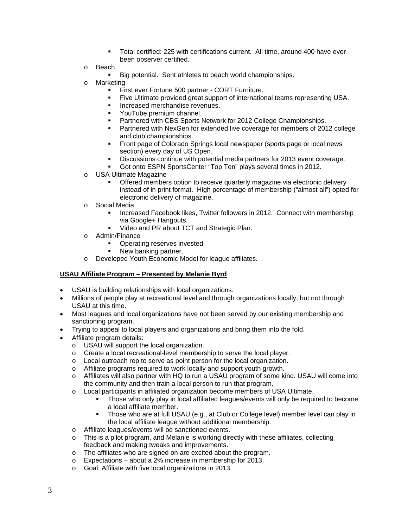- Total certified: 225 with certifications current. All time, around 400 have ever been observer certified.
- o Beach
	- Big potential. Sent athletes to beach world championships.
- o Marketing
	- **First ever Fortune 500 partner CORT Furniture.**
	- Five Ultimate provided great support of international teams representing USA.
	- **Increased merchandise revenues.**
	- YouTube premium channel.
	- **Partnered with CBS Sports Network for 2012 College Championships.**
	- Partnered with NexGen for extended live coverage for members of 2012 college and club championships.
	- Front page of Colorado Springs local newspaper (sports page or local news section) every day of US Open.
	- Discussions continue with potential media partners for 2013 event coverage.
	- Got onto ESPN SportsCenter "Top Ten" plays several times in 2012.
- o USA Ultimate Magazine
	- Offered members option to receive quarterly magazine via electronic delivery instead of in print format. High percentage of membership ("almost all") opted for electronic delivery of magazine.
- o Social Media
	- Increased Facebook likes, Twitter followers in 2012. Connect with membership via Google+ Hangouts.
	- Video and PR about TCT and Strategic Plan.
- o Admin/Finance
	- Operating reserves invested.
	- New banking partner.
- o Developed Youth Economic Model for league affiliates.

#### **USAU Affiliate Program – Presented by Melanie Byrd**

- USAU is building relationships with local organizations.
- Millions of people play at recreational level and through organizations locally, but not through USAU at this time.
- Most leagues and local organizations have not been served by our existing membership and sanctioning program.
- Trying to appeal to local players and organizations and bring them into the fold.
- Affiliate program details:
	- o USAU will support the local organization.
	- o Create a local recreational-level membership to serve the local player.
	- o Local outreach rep to serve as point person for the local organization.
	- o Affiliate programs required to work locally and support youth growth.
	- o Affiliates will also partner with HQ to run a USAU program of some kind. USAU will come into the community and then train a local person to run that program.
	- o Local participants in affiliated organization become members of USA Ultimate.
		- Those who only play in local affiliated leagues/events will only be required to become a local affiliate member.
		- Those who are at full USAU (e.g., at Club or College level) member level can play in the local affiliate league without additional membership.
	- o Affiliate leagues/events will be sanctioned events.
	- o This is a pilot program, and Melanie is working directly with these affiliates, collecting feedback and making tweaks and improvements.
	- o The affiliates who are signed on are excited about the program.
	- $\circ$  Expectations about a 2% increase in membership for 2013.
	- o Goal: Affiliate with five local organizations in 2013.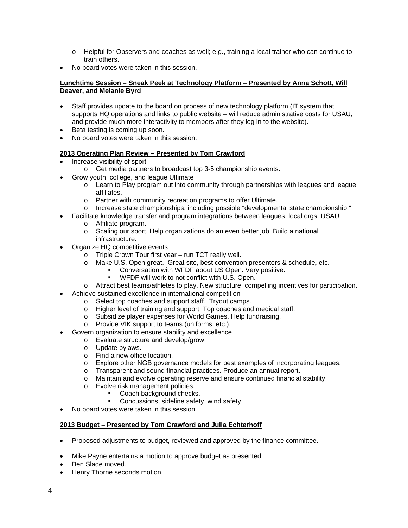- o Helpful for Observers and coaches as well; e.g., training a local trainer who can continue to train others.
- No board votes were taken in this session.

### **Lunchtime Session – Sneak Peek at Technology Platform – Presented by Anna Schott, Will Deaver, and Melanie Byrd**

- Staff provides update to the board on process of new technology platform (IT system that supports HQ operations and links to public website – will reduce administrative costs for USAU, and provide much more interactivity to members after they log in to the website).
- Beta testing is coming up soon.
- No board votes were taken in this session.

# **2013 Operating Plan Review – Presented by Tom Crawford**

- Increase visibility of sport
	- o Get media partners to broadcast top 3-5 championship events.
- Grow youth, college, and league Ultimate
	- o Learn to Play program out into community through partnerships with leagues and league affiliates.
	- o Partner with community recreation programs to offer Ultimate.<br>
	o Increase state championships. including possible "developmere"
	- Increase state championships, including possible "developmental state championship."
- Facilitate knowledge transfer and program integrations between leagues, local orgs, USAU
	- o Affiliate program.
	- o Scaling our sport. Help organizations do an even better job. Build a national infrastructure.
- Organize HQ competitive events
	- o Triple Crown Tour first year run TCT really well.
	- o Make U.S. Open great. Great site, best convention presenters & schedule, etc.
		- Conversation with WFDF about US Open. Very positive.
			- WFDF will work to not conflict with U.S. Open.
	- o Attract best teams/athletes to play. New structure, compelling incentives for participation.
	- Achieve sustained excellence in international competition
		- o Select top coaches and support staff. Tryout camps.
		- o Higher level of training and support. Top coaches and medical staff.
		- o Subsidize player expenses for World Games. Help fundraising.
		- o Provide VIK support to teams (uniforms, etc.).
- Govern organization to ensure stability and excellence
	- o Evaluate structure and develop/grow.<br>
	o Update bylaws.
	- Update bylaws.
	- o Find a new office location.
	- o Explore other NGB governance models for best examples of incorporating leagues.
	- o Transparent and sound financial practices. Produce an annual report.
	- o Maintain and evolve operating reserve and ensure continued financial stability.
	- o Evolve risk management policies.
		- Coach background checks.
			- Concussions, sideline safety, wind safety.
- No board votes were taken in this session.

# **2013 Budget – Presented by Tom Crawford and Julia Echterhoff**

- Proposed adjustments to budget, reviewed and approved by the finance committee.
- Mike Payne entertains a motion to approve budget as presented.
- Ben Slade moved.
- Henry Thorne seconds motion.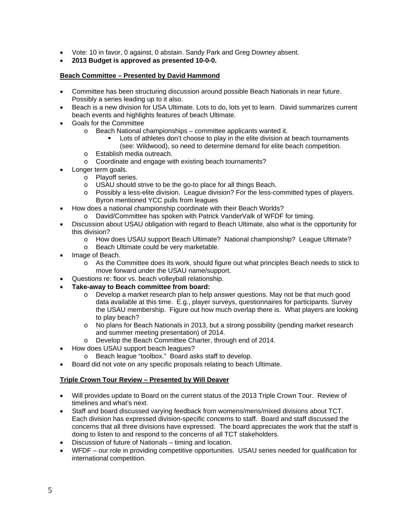- Vote: 10 in favor, 0 against, 0 abstain. Sandy Park and Greg Downey absent.
- **2013 Budget is approved as presented 10-0-0.**

# **Beach Committee – Presented by David Hammond**

- Committee has been structuring discussion around possible Beach Nationals in near future. Possibly a series leading up to it also.
- Beach is a new division for USA Ultimate. Lots to do, lots yet to learn. David summarizes current beach events and highlights features of beach Ultimate.
- Goals for the Committee
	- o Beach National championships committee applicants wanted it.
		- Lots of athletes don't choose to play in the elite division at beach tournaments (see: Wildwood), so need to determine demand for elite beach competition.
	- o Establish media outreach.
	- o Coordinate and engage with existing beach tournaments?
- Longer term goals.
	- o Playoff series.
	- o USAU should strive to be the go-to place for all things Beach.
	- o Possibly a less-elite division. League division? For the less-committed types of players. Byron mentioned YCC pulls from leagues
- How does a national championship coordinate with their Beach Worlds?
	- o David/Committee has spoken with Patrick VanderValk of WFDF for timing.
- Discussion about USAU obligation with regard to Beach Ultimate, also what is the opportunity for this division?
	- o How does USAU support Beach Ultimate? National championship? League Ultimate?
	- o Beach Ultimate could be very marketable.
- Image of Beach.
	- o As the Committee does its work, should figure out what principles Beach needs to stick to move forward under the USAU name/support.
- Questions re: floor vs. beach volleyball relationship.
- **Take-away to Beach committee from board:** 
	- o Develop a market research plan to help answer questions. May not be that much good data available at this time. E.g., player surveys, questionnaires for participants. Survey the USAU membership. Figure out how much overlap there is. What players are looking to play beach?
	- o No plans for Beach Nationals in 2013, but a strong possibility (pending market research and summer meeting presentation) of 2014.
	- o Develop the Beach Committee Charter, through end of 2014.
- How does USAU support beach leagues?
	- o Beach league "toolbox." Board asks staff to develop.
- Board did not vote on any specific proposals relating to beach Ultimate.

# **Triple Crown Tour Review – Presented by Will Deaver**

- Will provides update to Board on the current status of the 2013 Triple Crown Tour. Review of timelines and what's next.
- Staff and board discussed varying feedback from womens/mens/mixed divisions about TCT. Each division has expressed division-specific concerns to staff. Board and staff discussed the concerns that all three divisions have expressed. The board appreciates the work that the staff is doing to listen to and respond to the concerns of all TCT stakeholders.
- Discussion of future of Nationals timing and location.
- WFDF our role in providing competitive opportunities. USAU series needed for qualification for international competition.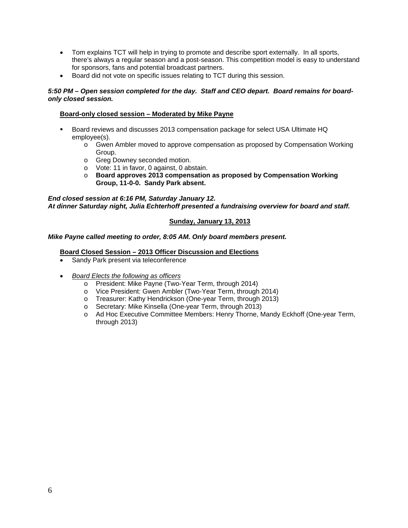- Tom explains TCT will help in trying to promote and describe sport externally. In all sports, there's always a regular season and a post-season. This competition model is easy to understand for sponsors, fans and potential broadcast partners.
- Board did not vote on specific issues relating to TCT during this session.

# *5:50 PM – Open session completed for the day. Staff and CEO depart. Board remains for boardonly closed session.*

# **Board-only closed session – Moderated by Mike Payne**

- Board reviews and discusses 2013 compensation package for select USA Ultimate HQ employee(s).
	- o Gwen Ambler moved to approve compensation as proposed by Compensation Working Group.
	- o Greg Downey seconded motion.
	- o Vote: 11 in favor, 0 against, 0 abstain.
	- o **Board approves 2013 compensation as proposed by Compensation Working Group, 11-0-0. Sandy Park absent.**

*End closed session at 6:16 PM, Saturday January 12. At dinner Saturday night, Julia Echterhoff presented a fundraising overview for board and staff.* 

# **Sunday, January 13, 2013**

# *Mike Payne called meeting to order, 8:05 AM. Only board members present.*

# **Board Closed Session – 2013 Officer Discussion and Elections**

- Sandy Park present via teleconference
- *Board Elects the following as officers* 
	- o President: Mike Payne (Two-Year Term, through 2014)
	- o Vice President: Gwen Ambler (Two-Year Term, through 2014)
	- o Treasurer: Kathy Hendrickson (One-year Term, through 2013)
	- o Secretary: Mike Kinsella (One-year Term, through 2013)
	- o Ad Hoc Executive Committee Members: Henry Thorne, Mandy Eckhoff (One-year Term, through 2013)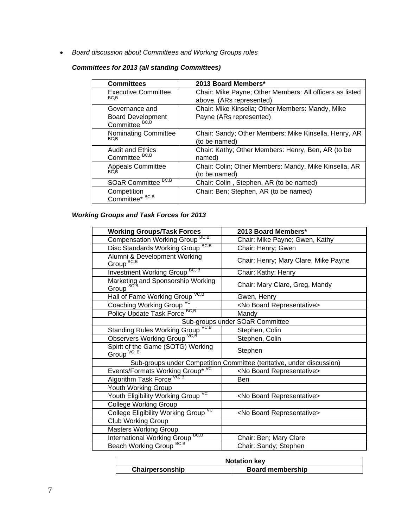*Board discussion about Committees and Working Groups roles*

# *Committees for 2013 (all standing Committees)*

| <b>Committees</b>                                                       | 2013 Board Members*                                                                  |
|-------------------------------------------------------------------------|--------------------------------------------------------------------------------------|
| <b>Executive Committee</b><br>BC,B                                      | Chair: Mike Payne; Other Members: All officers as listed<br>above. (ARs represented) |
| Governance and<br><b>Board Development</b><br>Committee <sup>BC,B</sup> | Chair: Mike Kinsella; Other Members: Mandy, Mike<br>Payne (ARs represented)          |
| Nominating Committee<br>BC.B                                            | Chair: Sandy; Other Members: Mike Kinsella, Henry, AR<br>(to be named)               |
| <b>Audit and Ethics</b><br>Committee <sup>BC,B</sup>                    | Chair: Kathy; Other Members: Henry, Ben, AR (to be<br>named)                         |
| Appeals Committee                                                       | Chair: Colin; Other Members: Mandy, Mike Kinsella, AR<br>(to be named)               |
| BC, B<br><b>SOaR Committee</b>                                          | Chair: Colin, Stephen, AR (to be named)                                              |
| Competition<br>Committee* BC,B                                          | Chair: Ben; Stephen, AR (to be named)                                                |

# *Working Groups and Task Forces for 2013*

| <b>Working Groups/Task Forces</b>                                    | 2013 Board Members*                  |  |  |
|----------------------------------------------------------------------|--------------------------------------|--|--|
| BC,B<br><b>Compensation Working Group</b>                            | Chair: Mike Payne; Gwen, Kathy       |  |  |
| BC.B<br>Disc Standards Working Group                                 | Chair: Henry; Gwen                   |  |  |
| Alumni & Development Working<br>Group <sup>BC,B</sup>                | Chair: Henry; Mary Clare, Mike Payne |  |  |
| <b>Investment Working Group BC, B</b>                                | Chair: Kathy; Henry                  |  |  |
| Marketing and Sponsorship Working<br>Group SC,B                      | Chair: Mary Clare, Greg, Mandy       |  |  |
| Hall of Fame Working Group VC,B                                      | Gwen, Henry                          |  |  |
| Coaching Working Group                                               | <no board="" representative=""></no> |  |  |
| Policy Update Task Force BC,B                                        | Mandy                                |  |  |
| Sub-groups under SOaR Committee                                      |                                      |  |  |
| VC,B<br><b>Standing Rules Working Group</b>                          | Stephen, Colin                       |  |  |
| Observers Working Group VC,B                                         | Stephen, Colin                       |  |  |
| Spirit of the Game (SOTG) Working<br>Group VC, B                     | Stephen                              |  |  |
| Sub-groups under Competition Committee (tentative, under discussion) |                                      |  |  |
| Events/Formats Working Group* VC                                     | <no board="" representative=""></no> |  |  |
| Algorithm Task Force VC, B                                           | Ben                                  |  |  |
| Youth Working Group                                                  |                                      |  |  |
| VC<br>Youth Eligibility Working Group                                | <no board="" representative=""></no> |  |  |
| <b>College Working Group</b>                                         |                                      |  |  |
| College Eligibility Working Group <sup>vc</sup>                      | <no board="" representative=""></no> |  |  |
| <b>Club Working Group</b>                                            |                                      |  |  |
| <b>Masters Working Group</b>                                         |                                      |  |  |
| International Working Group <sup>BC,B</sup>                          | Chair: Ben; Mary Clare               |  |  |
| BC,B<br><b>Beach Working Group</b>                                   | Chair: Sandy; Stephen                |  |  |

| <b>Notation key</b> |                         |  |
|---------------------|-------------------------|--|
| Chairpersonship     | <b>Board membership</b> |  |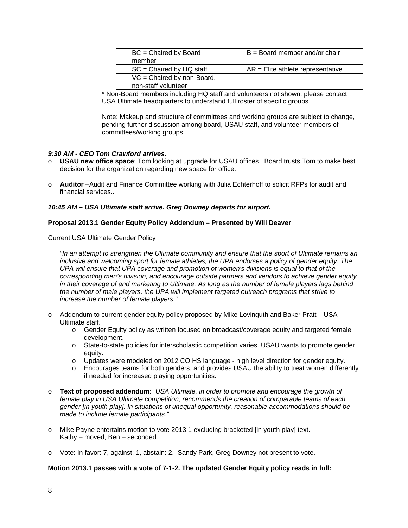| $BC = Chaired by Board$      | $B =$ Board member and/or chair     |
|------------------------------|-------------------------------------|
| member                       |                                     |
| $SC = Chaired by HQ staff$   | $AR =$ Elite athlete representative |
| $VC = Chaired by non-Board,$ |                                     |
| non-staff volunteer          |                                     |

\* Non-Board members including HQ staff and volunteers not shown, please contact USA Ultimate headquarters to understand full roster of specific groups

Note: Makeup and structure of committees and working groups are subject to change, pending further discussion among board, USAU staff, and volunteer members of committees/working groups.

### *9:30 AM - CEO Tom Crawford arrives.*

- o **USAU new office space**: Tom looking at upgrade for USAU offices. Board trusts Tom to make best decision for the organization regarding new space for office.
- o **Auditor** –Audit and Finance Committee working with Julia Echterhoff to solicit RFPs for audit and financial services..

### *10:45 AM – USA Ultimate staff arrive. Greg Downey departs for airport.*

### **Proposal 2013.1 Gender Equity Policy Addendum – Presented by Will Deaver**

#### Current USA Ultimate Gender Policy

*"In an attempt to strengthen the Ultimate community and ensure that the sport of Ultimate remains an inclusive and welcoming sport for female athletes, the UPA endorses a policy of gender equity. The UPA will ensure that UPA coverage and promotion of women's divisions is equal to that of the corresponding men's division, and encourage outside partners and vendors to achieve gender equity in their coverage of and marketing to Ultimate. As long as the number of female players lags behind the number of male players, the UPA will implement targeted outreach programs that strive to increase the number of female players."*

- o Addendum to current gender equity policy proposed by Mike Lovinguth and Baker Pratt USA Ultimate staff.
	- o Gender Equity policy as written focused on broadcast/coverage equity and targeted female development.
	- o State-to-state policies for interscholastic competition varies. USAU wants to promote gender equity.
	- o Updates were modeled on 2012 CO HS language high level direction for gender equity.
	- o Encourages teams for both genders, and provides USAU the ability to treat women differently if needed for increased playing opportunities.
- o **Text of proposed addendum**: *"USA Ultimate, in order to promote and encourage the growth of female play in USA Ultimate competition, recommends the creation of comparable teams of each gender [in youth play]. In situations of unequal opportunity, reasonable accommodations should be made to include female participants."*
- o Mike Payne entertains motion to vote 2013.1 excluding bracketed [in youth play] text. Kathy – moved, Ben – seconded.
- o Vote: In favor: 7, against: 1, abstain: 2. Sandy Park, Greg Downey not present to vote.

#### **Motion 2013.1 passes with a vote of 7-1-2. The updated Gender Equity policy reads in full:**